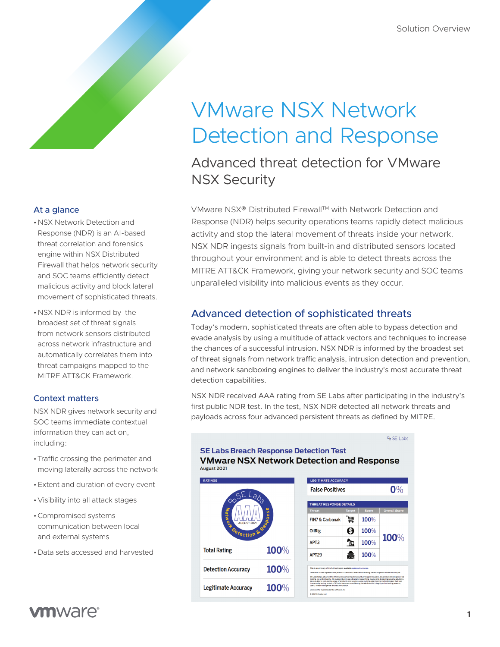# VMware NSX Network Detection and Response

Advanced threat detection for VMware NSX Security

VMware NSX® Distributed Firewall™ with Network Detection and Response (NDR) helps security operations teams rapidly detect malicious activity and stop the lateral movement of threats inside your network. NSX NDR ingests signals from built-in and distributed sensors located throughout your environment and is able to detect threats across the MITRE ATT&CK Framework, giving your network security and SOC teams unparalleled visibility into malicious events as they occur.

## Advanced detection of sophisticated threats

Today's modern, sophisticated threats are often able to bypass detection and evade analysis by using a multitude of attack vectors and techniques to increase the chances of a successful intrusion. NSX NDR is informed by the broadest set of threat signals from network traffic analysis, intrusion detection and prevention, and network sandboxing engines to deliver the industry's most accurate threat detection capabilities.

NSX NDR received AAA rating from SE Labs after participating in the industry's first public NDR test. In the test, NSX NDR detected all network threats and payloads across four advanced persistent threats as defined by MITRE.



#### At a glance

- •NSX Network Detection and Response (NDR) is an AI-based threat correlation and forensics engine within NSX Distributed Firewall that helps network security and SOC teams efficiently detect malicious activity and block lateral movement of sophisticated threats.
- •NSX NDR is informed by the broadest set of threat signals from network sensors distributed across network infrastructure and automatically correlates them into threat campaigns mapped to the MITRE ATT&CK Framework.

#### Context matters

NSX NDR gives network security and SOC teams immediate contextual information they can act on, including:

- •Traffic crossing the perimeter and moving laterally across the network
- •Extent and duration of every event
- •Visibility into all attack stages
- •Compromised systems communication between local and external systems
- •Data sets accessed and harvested

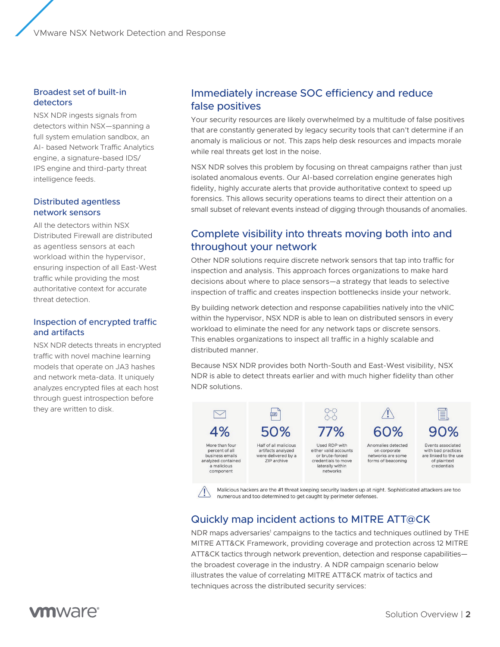VMware NSX Network Detection and Response

#### Broadest set of built-in detectors

NSX NDR ingests signals from detectors within NSX—spanning a full system emulation sandbox, an AI- based Network Traffic Analytics engine, a signature-based IDS/ IPS engine and third-party threat intelligence feeds.

#### Distributed agentless network sensors

All the detectors within NSX Distributed Firewall are distributed as agentless sensors at each workload within the hypervisor, ensuring inspection of all East-West traffic while providing the most authoritative context for accurate threat detection.

#### Inspection of encrypted traffic and artifacts

NSX NDR detects threats in encrypted traffic with novel machine learning models that operate on JA3 hashes and network meta-data. It uniquely analyzes encrypted files at each host through guest introspection before they are written to disk.

## Immediately increase SOC efficiency and reduce false positives

Your security resources are likely overwhelmed by a multitude of false positives that are constantly generated by legacy security tools that can't determine if an anomaly is malicious or not. This zaps help desk resources and impacts morale while real threats get lost in the noise.

NSX NDR solves this problem by focusing on threat campaigns rather than just isolated anomalous events. Our AI-based correlation engine generates high fidelity, highly accurate alerts that provide authoritative context to speed up forensics. This allows security operations teams to direct their attention on a small subset of relevant events instead of digging through thousands of anomalies.

## Complete visibility into threats moving both into and throughout your network

Other NDR solutions require discrete network sensors that tap into traffic for inspection and analysis. This approach forces organizations to make hard decisions about where to place sensors—a strategy that leads to selective inspection of traffic and creates inspection bottlenecks inside your network.

By building network detection and response capabilities natively into the vNIC within the hypervisor, NSX NDR is able to lean on distributed sensors in every workload to eliminate the need for any network taps or discrete sensors. This enables organizations to inspect all traffic in a highly scalable and distributed manner.

Because NSX NDR provides both North-South and East-West visibility, NSX NDR is able to detect threats earlier and with much higher fidelity than other NDR solutions.



Malicious hackers are the #1 threat keeping security leaders up at night. Sophisticated attackers are too numerous and too determined to get caught by perimeter defenses.

## Quickly map incident actions to MITRE ATT@CK

NDR maps adversaries<sup>1</sup> campaigns to the tactics and techniques outlined by THE MITRE ATT&CK Framework, providing coverage and protection across 12 MITRE ATT&CK tactics through network prevention, detection and response capabilities the broadest coverage in the industry. A NDR campaign scenario below illustrates the value of correlating MITRE ATT&CK matrix of tactics and techniques across the distributed security services: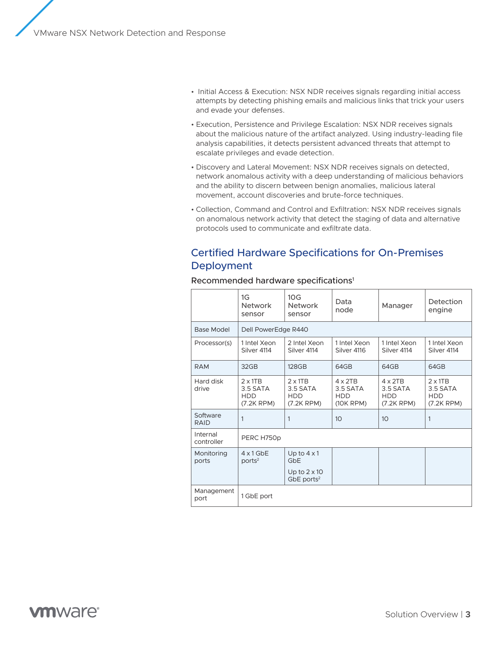- Initial Access & Execution: NSX NDR receives signals regarding initial access attempts by detecting phishing emails and malicious links that trick your users and evade your defenses.
- Execution, Persistence and Privilege Escalation: NSX NDR receives signals about the malicious nature of the artifact analyzed. Using industry-leading file analysis capabilities, it detects persistent advanced threats that attempt to escalate privileges and evade detection.
- Discovery and Lateral Movement: NSX NDR receives signals on detected, network anomalous activity with a deep understanding of malicious behaviors and the ability to discern between benign anomalies, malicious lateral movement, account discoveries and brute-force techniques.
- Collection, Command and Control and Exfiltration: NSX NDR receives signals on anomalous network activity that detect the staging of data and alternative protocols used to communicate and exfiltrate data.

## Certified Hardware Specifications for On-Premises Deployment

|                         | 1G<br><b>Network</b><br>sensor                              | 10 <sub>G</sub><br><b>Network</b><br>sensor                                  | Data<br>node                                               | Manager                                                     | Detection<br>engine                                         |  |  |  |
|-------------------------|-------------------------------------------------------------|------------------------------------------------------------------------------|------------------------------------------------------------|-------------------------------------------------------------|-------------------------------------------------------------|--|--|--|
| Base Model              | Dell PowerEdge R440                                         |                                                                              |                                                            |                                                             |                                                             |  |  |  |
| Processor(s)            | 1 Intel Xeon<br>Silver 4114                                 | 2 Intel Xeon<br>Silver 4114                                                  | 1 Intel Xeon<br>Silver 4116                                | 1 Intel Xeon<br>Silver 4114                                 | 1 Intel Xeon<br>Silver 4114                                 |  |  |  |
| <b>RAM</b>              | 32GB                                                        | <b>128GB</b>                                                                 | 64GB                                                       | 64GB                                                        | 64GB                                                        |  |  |  |
| Hard disk<br>drive      | $2 \times 1TB$<br>3.5 SATA<br><b>HDD</b><br>$(7.2K$ RPM $)$ | $2 \times 1TB$<br>3.5 SATA<br><b>HDD</b><br>$(7.2K$ RPM $)$                  | $4 \times 2TB$<br>3.5 SATA<br><b>HDD</b><br>$(10K$ RPM $)$ | $4 \times 2TB$<br>3.5 SATA<br><b>HDD</b><br>$(7.2K$ RPM $)$ | $2 \times 1TB$<br>3.5 SATA<br><b>HDD</b><br>$(7.2K$ RPM $)$ |  |  |  |
| Software<br><b>RAID</b> | $\mathbf{1}$                                                | $\mathbf{1}$                                                                 | 10                                                         | 10 <sup>2</sup>                                             | $\mathbf{1}$                                                |  |  |  |
| Internal<br>controller  | PERC H750p                                                  |                                                                              |                                                            |                                                             |                                                             |  |  |  |
| Monitoring<br>ports     | $4 \times 1$ GbE<br>ports <sup>2</sup>                      | Up to $4 \times 1$<br>GbE<br>Up to $2 \times 10$<br>$GbE$ ports <sup>2</sup> |                                                            |                                                             |                                                             |  |  |  |
| Management<br>port      | 1 GbE port                                                  |                                                                              |                                                            |                                                             |                                                             |  |  |  |

#### Recommended hardware specifications<sup>1</sup>

 $\Gamma$